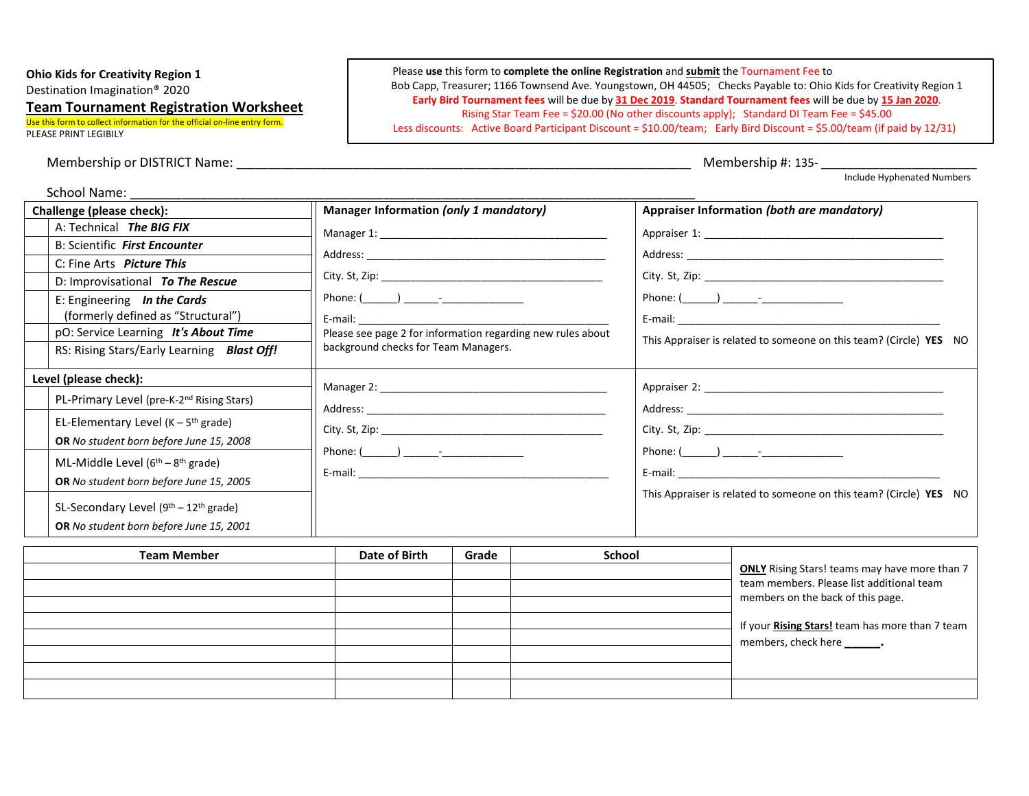**Ohio Kids for Creativity Region 1**

Destination Imagination® 2020

## **Team Tournament Registration Worksheet**

Use this form to collect information for the official on-line entry form. PLEASE PRINT LEGIBILY

Membership or DISTRICT Name:  $\blacksquare$ 

Please **use** this form to **complete the online Registration** and **submit** the Tournament Fee to Bob Capp, Treasurer; 1166 Townsend Ave. Youngstown, OH 44505; Checks Payable to: Ohio Kids for Creativity Region 1 **Early Bird Tournament fees** will be due by **31 Dec 2019**. **Standard Tournament fees** will be due by **15 Jan 2020**. Rising Star Team Fee = \$20.00 (No other discounts apply); Standard DI Team Fee = \$45.00 Less discounts: Active Board Participant Discount = \$10.00/team; Early Bird Discount = \$5.00/team (if paid by 12/31)

Include Hyphenated Numbers

| Challenge (please check):                          | Manager Information (only 1 mandatory)                                                                         | Appraiser Information (both are mandatory)                                                                                                                                                                                     |  |  |
|----------------------------------------------------|----------------------------------------------------------------------------------------------------------------|--------------------------------------------------------------------------------------------------------------------------------------------------------------------------------------------------------------------------------|--|--|
| A: Technical The BIG FIX                           |                                                                                                                |                                                                                                                                                                                                                                |  |  |
| B: Scientific First Encounter                      |                                                                                                                |                                                                                                                                                                                                                                |  |  |
| C: Fine Arts Picture This                          |                                                                                                                |                                                                                                                                                                                                                                |  |  |
| D: Improvisational To The Rescue                   |                                                                                                                |                                                                                                                                                                                                                                |  |  |
| E: Engineering In the Cards                        |                                                                                                                |                                                                                                                                                                                                                                |  |  |
| (formerly defined as "Structural")                 |                                                                                                                |                                                                                                                                                                                                                                |  |  |
| pO: Service Learning It's About Time               | Please see page 2 for information regarding new rules about                                                    | This Appraiser is related to someone on this team? (Circle) YES NO                                                                                                                                                             |  |  |
| RS: Rising Stars/Early Learning Blast Off!         | background checks for Team Managers.                                                                           |                                                                                                                                                                                                                                |  |  |
| Level (please check):                              |                                                                                                                |                                                                                                                                                                                                                                |  |  |
| PL-Primary Level (pre-K-2nd Rising Stars)          |                                                                                                                |                                                                                                                                                                                                                                |  |  |
| EL-Elementary Level ( $K - 5$ <sup>th</sup> grade) |                                                                                                                |                                                                                                                                                                                                                                |  |  |
| OR No student born before June 15, 2008            |                                                                                                                |                                                                                                                                                                                                                                |  |  |
| ML-Middle Level $(6th - 8th$ grade)                |                                                                                                                |                                                                                                                                                                                                                                |  |  |
| OR No student born before June 15, 2005            | E-mail: 2008 2008 2010 2010 2010 2010 2011 2012 2013 2014 2015 2016 2017 2018 2019 2019 2019 2019 2019 2019 20 | E-mail: E-mail: All and the state of the state of the state of the state of the state of the state of the state of the state of the state of the state of the state of the state of the state of the state of the state of the |  |  |
|                                                    |                                                                                                                | This Appraiser is related to someone on this team? (Circle) YES NO                                                                                                                                                             |  |  |
| SL-Secondary Level $(9th – 12th$ grade)            |                                                                                                                |                                                                                                                                                                                                                                |  |  |
| OR No student born before June 15, 2001            |                                                                                                                |                                                                                                                                                                                                                                |  |  |

| <b>Team Member</b> | Date of Birth | Grade | <b>School</b> |                                                                                                                                                                    |
|--------------------|---------------|-------|---------------|--------------------------------------------------------------------------------------------------------------------------------------------------------------------|
|                    |               |       |               | <b>ONLY</b> Rising Stars! teams may have more than 7                                                                                                               |
|                    |               |       |               | team members. Please list additional team<br>members on the back of this page.<br>If your Rising Stars! team has more than 7 team<br>members, check here ________. |
|                    |               |       |               |                                                                                                                                                                    |
|                    |               |       |               |                                                                                                                                                                    |
|                    |               |       |               |                                                                                                                                                                    |
|                    |               |       |               |                                                                                                                                                                    |
|                    |               |       |               |                                                                                                                                                                    |
|                    |               |       |               |                                                                                                                                                                    |
|                    |               |       |               |                                                                                                                                                                    |